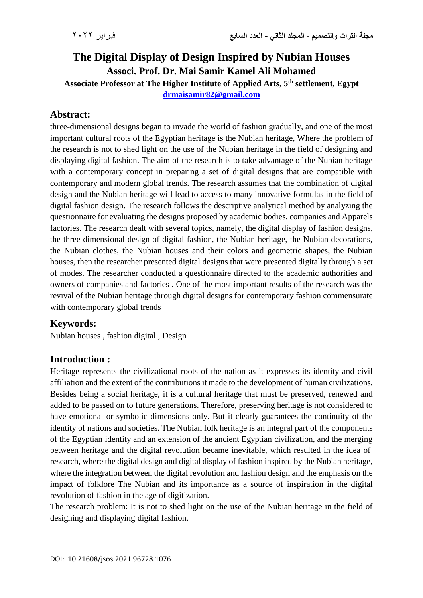# **The Digital Display of Design Inspired by Nubian Houses Associ. Prof. Dr. Mai Samir Kamel Ali Mohamed**

**Associate Professor at The Higher Institute of Applied Arts, 5th settlement, Egypt [drmaisamir82@gmail.com](mailto:drmaisamir82@gmail.com)**

### **Abstract:**

three-dimensional designs began to invade the world of fashion gradually, and one of the most important cultural roots of the Egyptian heritage is the Nubian heritage, Where the problem of the research is not to shed light on the use of the Nubian heritage in the field of designing and displaying digital fashion. The aim of the research is to take advantage of the Nubian heritage with a contemporary concept in preparing a set of digital designs that are compatible with contemporary and modern global trends. The research assumes that the combination of digital design and the Nubian heritage will lead to access to many innovative formulas in the field of digital fashion design. The research follows the descriptive analytical method by analyzing the questionnaire for evaluating the designs proposed by academic bodies, companies and Apparels factories. The research dealt with several topics, namely, the digital display of fashion designs, the three-dimensional design of digital fashion, the Nubian heritage, the Nubian decorations, the Nubian clothes, the Nubian houses and their colors and geometric shapes, the Nubian houses, then the researcher presented digital designs that were presented digitally through a set of modes. The researcher conducted a questionnaire directed to the academic authorities and owners of companies and factories . One of the most important results of the research was the revival of the Nubian heritage through digital designs for contemporary fashion commensurate with contemporary global trends

#### **Keywords:**

Nubian houses , fashion digital , Design

#### **Introduction :**

Heritage represents the civilizational roots of the nation as it expresses its identity and civil affiliation and the extent of the contributions it made to the development of human civilizations. Besides being a social heritage, it is a cultural heritage that must be preserved, renewed and added to be passed on to future generations. Therefore, preserving heritage is not considered to have emotional or symbolic dimensions only. But it clearly guarantees the continuity of the identity of nations and societies. The Nubian folk heritage is an integral part of the components of the Egyptian identity and an extension of the ancient Egyptian civilization, and the merging between heritage and the digital revolution became inevitable, which resulted in the idea of research, where the digital design and digital display of fashion inspired by the Nubian heritage, where the integration between the digital revolution and fashion design and the emphasis on the impact of folklore The Nubian and its importance as a source of inspiration in the digital revolution of fashion in the age of digitization.

The research problem: It is not to shed light on the use of the Nubian heritage in the field of designing and displaying digital fashion.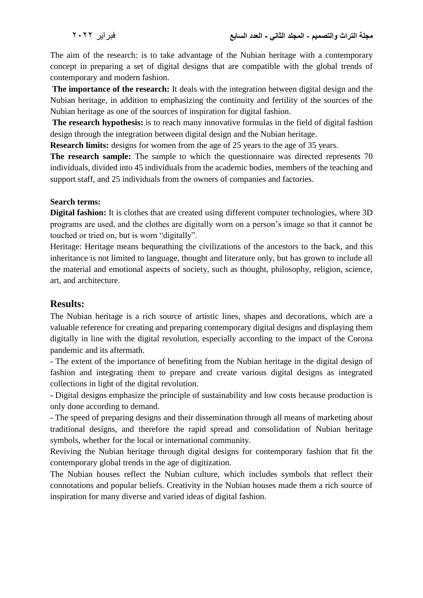The aim of the research: is to take advantage of the Nubian heritage with a contemporary concept in preparing a set of digital designs that are compatible with the global trends of contemporary and modern fashion.

**The importance of the research:** It deals with the integration between digital design and the Nubian heritage, in addition to emphasizing the continuity and fertility of the sources of the Nubian heritage as one of the sources of inspiration for digital fashion.

**The research hypothesis:** is to reach many innovative formulas in the field of digital fashion design through the integration between digital design and the Nubian heritage.

**Research limits:** designs for women from the age of 25 years to the age of 35 years.

**The research sample:** The sample to which the questionnaire was directed represents 70 individuals, divided into 45 individuals from the academic bodies, members of the teaching and support staff, and 25 individuals from the owners of companies and factories.

#### **Search terms:**

**Digital fashion:** It is clothes that are created using different computer technologies, where 3D programs are used, and the clothes are digitally worn on a person's image so that it cannot be touched or tried on, but is worn "digitally".

Heritage: Heritage means bequeathing the civilizations of the ancestors to the back, and this inheritance is not limited to language, thought and literature only, but has grown to include all the material and emotional aspects of society, such as thought, philosophy, religion, science, art, and architecture.

#### **Results:**

The Nubian heritage is a rich source of artistic lines, shapes and decorations, which are a valuable reference for creating and preparing contemporary digital designs and displaying them digitally in line with the digital revolution, especially according to the impact of the Corona pandemic and its aftermath.

- The extent of the importance of benefiting from the Nubian heritage in the digital design of fashion and integrating them to prepare and create various digital designs as integrated collections in light of the digital revolution.

- Digital designs emphasize the principle of sustainability and low costs because production is only done according to demand.

- The speed of preparing designs and their dissemination through all means of marketing about traditional designs, and therefore the rapid spread and consolidation of Nubian heritage symbols, whether for the local or international community.

Reviving the Nubian heritage through digital designs for contemporary fashion that fit the contemporary global trends in the age of digitization.

The Nubian houses reflect the Nubian culture, which includes symbols that reflect their connotations and popular beliefs. Creativity in the Nubian houses made them a rich source of inspiration for many diverse and varied ideas of digital fashion.